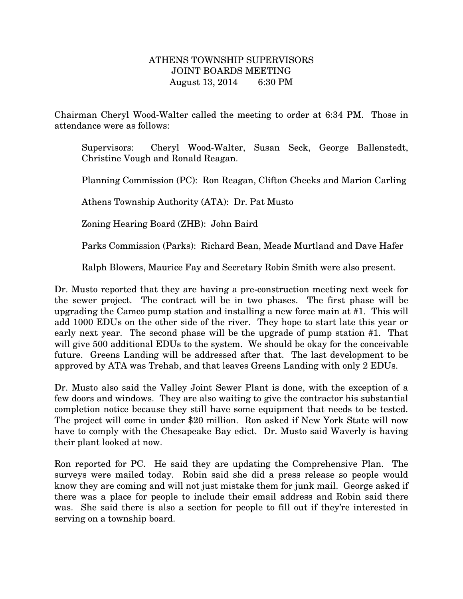## ATHENS TOWNSHIP SUPERVISORS JOINT BOARDS MEETING August 13, 2014 6:30 PM

Chairman Cheryl Wood-Walter called the meeting to order at 6:34 PM. Those in attendance were as follows:

Supervisors: Cheryl Wood-Walter, Susan Seck, George Ballenstedt, Christine Vough and Ronald Reagan.

Planning Commission (PC): Ron Reagan, Clifton Cheeks and Marion Carling

Athens Township Authority (ATA): Dr. Pat Musto

Zoning Hearing Board (ZHB): John Baird

Parks Commission (Parks): Richard Bean, Meade Murtland and Dave Hafer

Ralph Blowers, Maurice Fay and Secretary Robin Smith were also present.

Dr. Musto reported that they are having a pre-construction meeting next week for the sewer project. The contract will be in two phases. The first phase will be upgrading the Camco pump station and installing a new force main at #1. This will add 1000 EDUs on the other side of the river. They hope to start late this year or early next year. The second phase will be the upgrade of pump station #1. That will give 500 additional EDUs to the system. We should be okay for the conceivable future. Greens Landing will be addressed after that. The last development to be approved by ATA was Trehab, and that leaves Greens Landing with only 2 EDUs.

Dr. Musto also said the Valley Joint Sewer Plant is done, with the exception of a few doors and windows. They are also waiting to give the contractor his substantial completion notice because they still have some equipment that needs to be tested. The project will come in under \$20 million. Ron asked if New York State will now have to comply with the Chesapeake Bay edict. Dr. Musto said Waverly is having their plant looked at now.

Ron reported for PC. He said they are updating the Comprehensive Plan. The surveys were mailed today. Robin said she did a press release so people would know they are coming and will not just mistake them for junk mail. George asked if there was a place for people to include their email address and Robin said there was. She said there is also a section for people to fill out if they're interested in serving on a township board.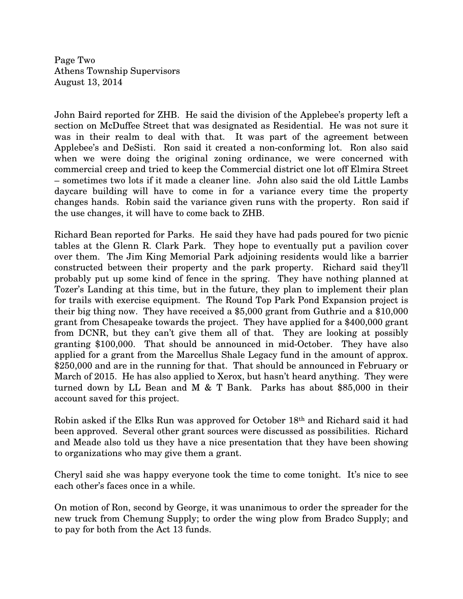Page Two Athens Township Supervisors August 13, 2014

John Baird reported for ZHB. He said the division of the Applebee's property left a section on McDuffee Street that was designated as Residential. He was not sure it was in their realm to deal with that. It was part of the agreement between Applebee's and DeSisti. Ron said it created a non-conforming lot. Ron also said when we were doing the original zoning ordinance, we were concerned with commercial creep and tried to keep the Commercial district one lot off Elmira Street – sometimes two lots if it made a cleaner line. John also said the old Little Lambs daycare building will have to come in for a variance every time the property changes hands. Robin said the variance given runs with the property. Ron said if the use changes, it will have to come back to ZHB.

Richard Bean reported for Parks. He said they have had pads poured for two picnic tables at the Glenn R. Clark Park. They hope to eventually put a pavilion cover over them. The Jim King Memorial Park adjoining residents would like a barrier constructed between their property and the park property. Richard said they'll probably put up some kind of fence in the spring. They have nothing planned at Tozer's Landing at this time, but in the future, they plan to implement their plan for trails with exercise equipment. The Round Top Park Pond Expansion project is their big thing now. They have received a \$5,000 grant from Guthrie and a \$10,000 grant from Chesapeake towards the project. They have applied for a \$400,000 grant from DCNR, but they can't give them all of that. They are looking at possibly granting \$100,000. That should be announced in mid-October. They have also applied for a grant from the Marcellus Shale Legacy fund in the amount of approx. \$250,000 and are in the running for that. That should be announced in February or March of 2015. He has also applied to Xerox, but hasn't heard anything. They were turned down by LL Bean and M & T Bank. Parks has about \$85,000 in their account saved for this project.

Robin asked if the Elks Run was approved for October 18th and Richard said it had been approved. Several other grant sources were discussed as possibilities. Richard and Meade also told us they have a nice presentation that they have been showing to organizations who may give them a grant.

Cheryl said she was happy everyone took the time to come tonight. It's nice to see each other's faces once in a while.

On motion of Ron, second by George, it was unanimous to order the spreader for the new truck from Chemung Supply; to order the wing plow from Bradco Supply; and to pay for both from the Act 13 funds.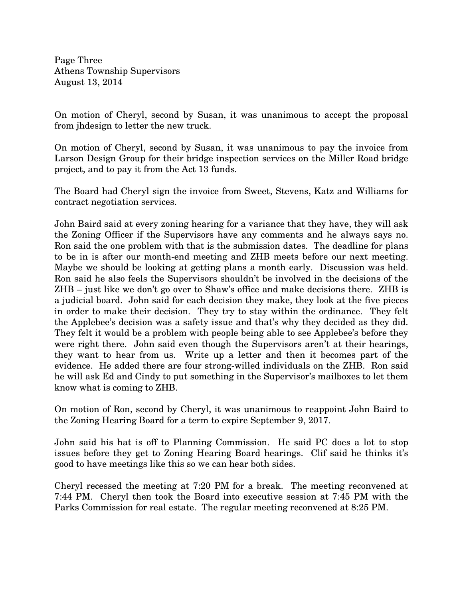Page Three Athens Township Supervisors August 13, 2014

On motion of Cheryl, second by Susan, it was unanimous to accept the proposal from jhdesign to letter the new truck.

On motion of Cheryl, second by Susan, it was unanimous to pay the invoice from Larson Design Group for their bridge inspection services on the Miller Road bridge project, and to pay it from the Act 13 funds.

The Board had Cheryl sign the invoice from Sweet, Stevens, Katz and Williams for contract negotiation services.

John Baird said at every zoning hearing for a variance that they have, they will ask the Zoning Officer if the Supervisors have any comments and he always says no. Ron said the one problem with that is the submission dates. The deadline for plans to be in is after our month-end meeting and ZHB meets before our next meeting. Maybe we should be looking at getting plans a month early. Discussion was held. Ron said he also feels the Supervisors shouldn't be involved in the decisions of the ZHB – just like we don't go over to Shaw's office and make decisions there. ZHB is a judicial board. John said for each decision they make, they look at the five pieces in order to make their decision. They try to stay within the ordinance. They felt the Applebee's decision was a safety issue and that's why they decided as they did. They felt it would be a problem with people being able to see Applebee's before they were right there. John said even though the Supervisors aren't at their hearings, they want to hear from us. Write up a letter and then it becomes part of the evidence. He added there are four strong-willed individuals on the ZHB. Ron said he will ask Ed and Cindy to put something in the Supervisor's mailboxes to let them know what is coming to ZHB.

On motion of Ron, second by Cheryl, it was unanimous to reappoint John Baird to the Zoning Hearing Board for a term to expire September 9, 2017.

John said his hat is off to Planning Commission. He said PC does a lot to stop issues before they get to Zoning Hearing Board hearings. Clif said he thinks it's good to have meetings like this so we can hear both sides.

Cheryl recessed the meeting at 7:20 PM for a break. The meeting reconvened at 7:44 PM. Cheryl then took the Board into executive session at 7:45 PM with the Parks Commission for real estate. The regular meeting reconvened at 8:25 PM.